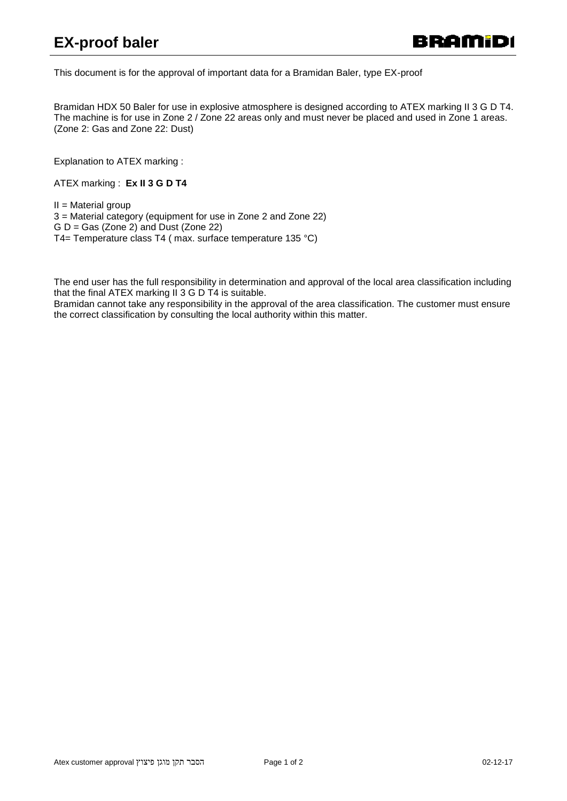This document is for the approval of important data for a Bramidan Baler, type EX-proof

Bramidan HDX 50 Baler for use in explosive atmosphere is designed according to ATEX marking II 3 G D T4. The machine is for use in Zone 2 / Zone 22 areas only and must never be placed and used in Zone 1 areas. (Zone 2: Gas and Zone 22: Dust)

Explanation to ATEX marking :

ATEX marking : **Ex II 3 G D T4**

 $II = Material$  group

3 = Material category (equipment for use in Zone 2 and Zone 22)  $G D =$  Gas (Zone 2) and Dust (Zone 22) T4= Temperature class T4 ( max. surface temperature 135 °C)

The end user has the full responsibility in determination and approval of the local area classification including that the final ATEX marking II 3 G D T4 is suitable.

Bramidan cannot take any responsibility in the approval of the area classification. The customer must ensure the correct classification by consulting the local authority within this matter.